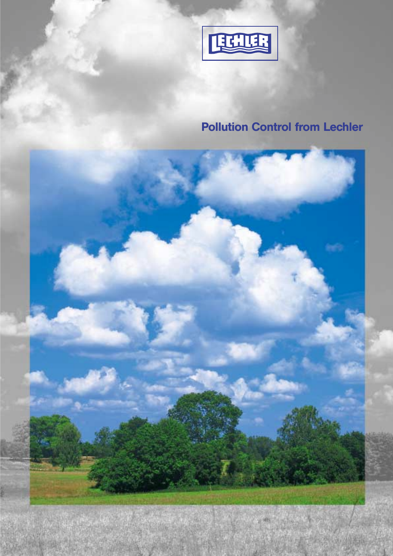

# Pollution Control from Lechler

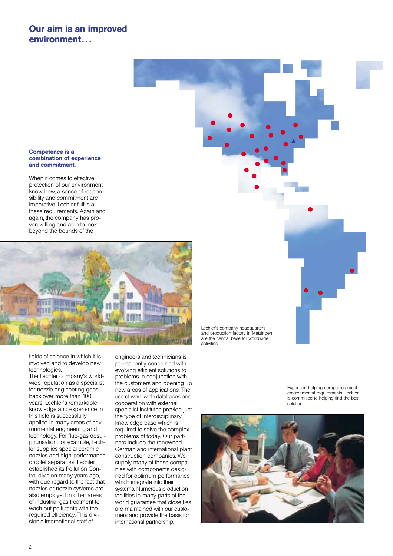### Our aim is an improved environment. . .

#### Competence is a combination of experience and commitment.

When it comes to effective protection of our environment, know-how, a sense of responsibility and commitment are imperative. Lechler fulfils all these requirements. Again and again, the company has proven willing and able to look beyond the bounds of the



fields of science in which it is involved and to develop new technologies.

The Lechler company's worldwide reputation as a specialist for nozzle engineering goes back over more than 100 years. Lechler's remarkable knowledge and experience in this field is successfully applied in many areas of environmental engineering and technology. For flue-gas desulphurisation, for example, Lechler supplies special ceramic nozzles and high-performance droplet separators. Lechler established its Pollution Control division many years ago, with due regard to the fact that nozzles or nozzle systems are also employed in other areas of industrial gas treatment to wash out pollutants with the required efficiency. This division's international staff of

engineers and technicians is permanently concerned with evolving efficient solutions to problems in conjunction with the customers and opening up new areas of applications. The use of worldwide databases and cooperation with external specialist institutes provide just the type of interdisciplinary knowledge base which is required to solve the complex problems of today. Our partners include the renowned German and international plant construction companies. We supply many of these companies with components designed for optimum performance which integrate into their systems. Numerous production facilities in many parts of the world guarantee that close ties are maintained with our customers and provide the basis for international partnership.

Lechler's company headquarters and production factory in Metzingen are the central base for worldwide activities.

> Experts in helping companies meet environmental requirements. Lechler is committed to helping find the best solution.

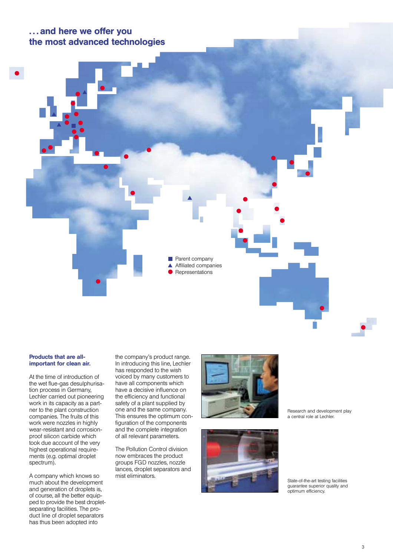### . . . and here we offer you the most advanced technologies



### Products that are allimportant for clean air.

At the time of introduction of the wet flue-gas desulphurisation process in Germany, Lechler carried out pioneering work in its capacity as a partner to the plant construction companies. The fruits of this work were nozzles in highly wear-resistant and corrosionproof silicon carbide which took due account of the very highest operational requirements (e.g. optimal droplet spectrum).

A company which knows so much about the development and generation of droplets is, of course, all the better equipped to provide the best dropletseparating facilities. The product line of droplet separators has thus been adopted into

the company's product range. In introducing this line, Lechler has responded to the wish voiced by many customers to have all components which have a decisive influence on the efficiency and functional safety of a plant supplied by one and the same company. This ensures the optimum configuration of the components and the complete integration of all relevant parameters.

The Pollution Control division now embraces the product groups FGD nozzles, nozzle lances, droplet separators and mist eliminators.





Research and development play a central role at Lechler.

State-of-the-art testing facilities guarantee superior quality and optimum efficiency.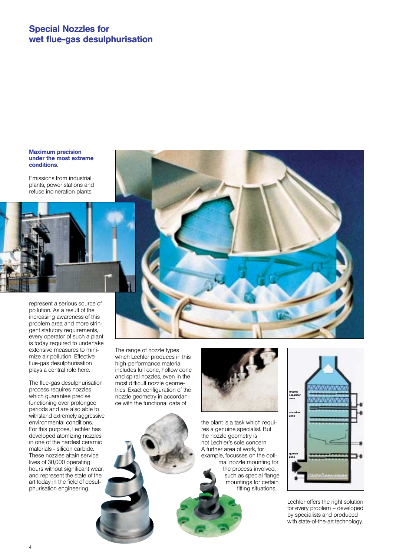### Special Nozzles for wet flue-gas desulphurisation

#### Maximum precision under the most extreme conditions.

Emissions from industrial plants, power stations and refuse incineration plants

pollution. As a result of the increasing awareness of this problem area and more stringent statutory requirements, every operator of such a plant is today required to undertake extensive measures to minimize air pollution. Effective flue-gas desulphurisation plays a central role here.

represent a serious source of

The flue-gas desulphurisation process requires nozzles which guarantee precise functioning over prolonged periods and are also able to withstand extremely aggressive environmental conditions. For this purpose, Lechler has developed atomizing nozzles in one of the hardest ceramic materials - silicon carbide. These nozzles attain service lives of 30,000 operating hours without significant wear, and represent the state of the art today in the field of desulphurisation engineering.

The range of nozzle types which Lechler produces in this high-performance material includes full cone, hollow cone and spiral nozzles, even in the most difficult nozzle geometries. Exact configuration of the nozzle geometry in accordance with the functional data of



the plant is a task which requires a genuine specialist. But the nozzle geometry is not Lechler's sole concern. A further area of work, for example, focusses on the optimal nozzle mounting for the process involved, such as special flange mountings for certain fitting situations.



Lechler offers the right solution for every problem – developed by specialists and produced with state-of-the-art technology.

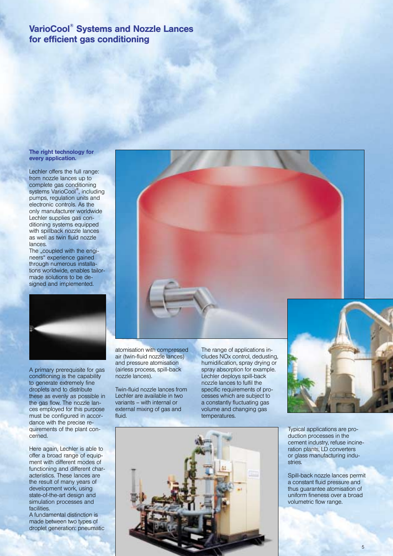### VarioCool® Systems and Nozzle Lances for efficient gas conditioning

#### The right technology for every application.

Lechler offers the full range: from nozzle lances up to complete gas conditioning systems VarioCool<sup>®</sup>, including pumps, regulation units and electronic controls. As the only manufacturer worldwide Lechler supplies gas conditioning systems equipped with spillback nozzle lances as well as twin fluid nozzle lances.

The "coupled with the engineers" experience gained through numerous installations worldwide, enables tailormade solutions to be designed and implemented.



A primary prerequisite for gas conditioning is the capability to generate extremely fine droplets and to distribute these as evenly as possible in the gas flow. The nozzle lances employed for this purpose must be configured in accordance with the precise requirements of the plant concerned.

Here again, Lechler is able to offer a broad range of equipment with different modes of functioning and different characteristics. These lances are the result of many years of development work, using state-of-the-art design and simulation processes and facilities.

A fundamental distinction is made between two types of droplet generation: pneumatic atomisation with compressed air (twin-fluid nozzle lances) and pressure atomisation (airless process, spill-back nozzle lances).

Twin-fluid nozzle lances from Lechler are available in two variants – with internal or external mixing of gas and fluid.

The range of applications includes NOx control, dedusting, humidification, spray drying or spray absorption for example. Lechler deploys spill-back nozzle lances to fulfil the specific requirements of processes which are subject to a constantly fluctuating gas volume and changing gas temperatures.



Typical applications are production processes in the cement industry, refuse incineration plants, LD converters or glass manufacturing industries.

Spill-back nozzle lances permit a constant fluid pressure and thus guarantee atomisation of uniform fineness over a broad volumetric flow range.



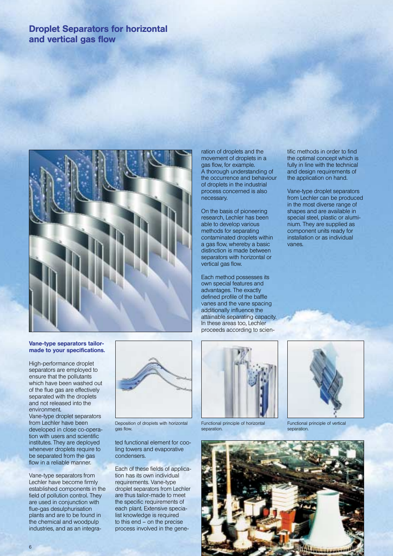## Droplet Separators for horizontal and vertical gas flow



### Vane-type separators tailormade to your specifications.

High-performance droplet separators are employed to ensure that the pollutants which have been washed out of the flue gas are effectively separated with the droplets and not released into the environment.

Vane-type droplet separators from Lechler have been developed in close co-operation with users and scientific institutes. They are deployed whenever droplets require to be separated from the gas flow in a reliable manner.

Vane-type separators from Lechler have become firmly established components in the field of pollution control. They are used in conjunction with flue-gas desulphurisation plants and are to be found in the chemical and woodpulp industries, and as an integra-



Deposition of droplets with horizontal gas flow.

ted functional element for cooling towers and evaporative condensers.

Each of these fields of application has its own individual requirements. Vane-type droplet separators from Lechler are thus tailor-made to meet the specific requirements of each plant. Extensive specialist knowledge is required to this end – on the precise process involved in the gene-

ration of droplets and the movement of droplets in a gas flow, for example. A thorough understanding of the occurrence and behaviour of droplets in the industrial process concerned is also necessary.

On the basis of pioneering research, Lechler has been able to develop various methods for separating contaminated droplets within a gas flow, whereby a basic distinction is made between separators with horizontal or vertical gas flow.

Each method possesses its own special features and advantages. The exactly defined profile of the baffle vanes and the vane spacing additionally influence the attainable separating capacity. In these areas too, Lechler proceeds according to scien-



Functional principle of horizontal separation.



Vane-type droplet separators from Lechler can be produced in the most diverse range of shapes and are available in special steel, plastic or aluminium. They are supplied as component units ready for installation or as individual vanes.



Functional principle of vertical separation.

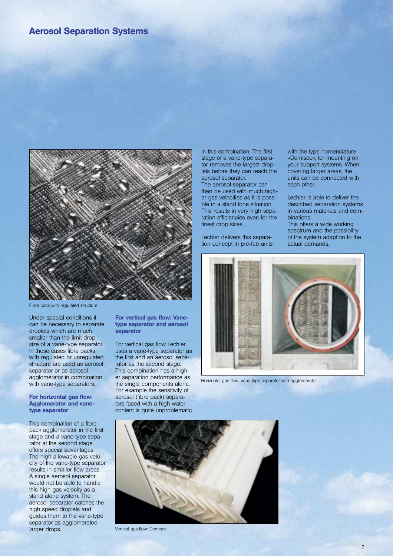### Aerosol Separation Systems



Fibre pack with regulated structure

Under special conditions it can be necessary to separate droplets which are much smaller than the limit drop size of a vane-type separator. In those cases fibre packs with regulated or unregulated structure are used as aerosol separator or as aerosol agglomerator in combination with vane-type separators.

#### For horizontal gas flow: Agglomerator and vanetype separator

This combination of a fibre pack agglomerator in the first stage and a vane-type separator at the second stage offers special advantages. The high allowable gas velocity of the vane-type separator results in smaller flow areas. A single aerosol separator would not be able to handle this high gas velocity as a stand alone system. The aerosol separator catches the high speed droplets and guides them to the vane-type separator as agglomerated larger drops.

#### For vertical gas flow: Vanetype separator and aerosol separator

For vertical gas flow Lechler uses a vane-type separator as the first and an aerosol separator as the second stage. This combination has a higher separation performance as the single components alone. For example the sensitivity of aerosol (fibre pack) separators faced with a high water content is quite unproblematic

in this combination. The first stage of a vane-type separator removes the largest droplets before they can reach the aerosol separator.

The aerosol separator can then be used with much higher gas velocities as it is possible in a stand lone situation. This results in very high separation efficiencies even for the finest drop sizes.

Lechler delivers this separation concept in pre-fab units with the type nomenclature »Demisec«, for mounting on your support systems. When covering larger areas, the units can be connected with each other.

Lechler is able to deliver the described separation systems in various materials and combinations.

This offers a wide working spectrum and the possibility of the system adaption to the actual demands.



Horizontal gas flow: vane-type separator with agglomerator



Vertical gas flow: Demisec